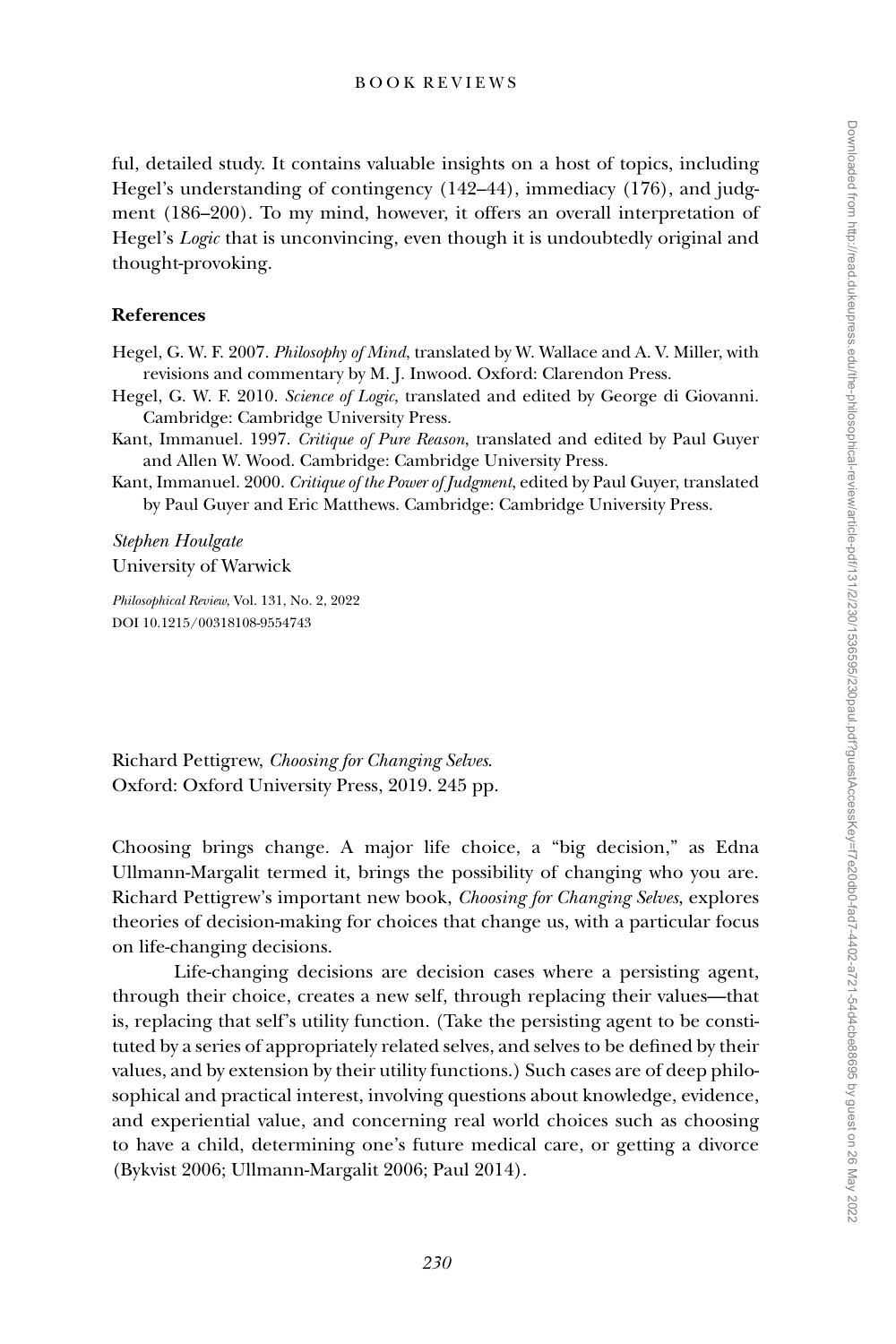ful, detailed study. It contains valuable insights on a host of topics, including Hegel's understanding of contingency (142–44), immediacy (176), and judgment (186–200). To my mind, however, it offers an overall interpretation of Hegel's *Logic* that is unconvincing, even though it is undoubtedly original and thought-provoking.

# **References**

- Hegel, G. W. F. 2007. *Philosophy of Mind*, translated by W. Wallace and A. V. Miller, with revisions and commentary by M. J. Inwood. Oxford: Clarendon Press.
- Hegel, G. W. F. 2010. *Science of Logic*, translated and edited by George di Giovanni. Cambridge: Cambridge University Press.
- Kant, Immanuel. 1997. *Critique of Pure Reason*, translated and edited by Paul Guyer and Allen W. Wood. Cambridge: Cambridge University Press.
- Kant, Immanuel. 2000. *Critique of the Power of Judgment*, edited by Paul Guyer, translated by Paul Guyer and Eric Matthews. Cambridge: Cambridge University Press.

*Stephen Houlgate* University of Warwick

*Philosophical Review*, Vol. 131, No. 2, 2022 DOI 10.1215/00318108-9554743

Richard Pettigrew, *Choosing for Changing Selves*. Oxford: Oxford University Press, 2019. 245 pp.

Choosing brings change. A major life choice, a "big decision," as Edna Ullmann-Margalit termed it, brings the possibility of changing who you are. Richard Pettigrew's important new book, *Choosing for Changing Selves*, explores theories of decision-making for choices that change us, with a particular focus on life-changing decisions.

Life-changing decisions are decision cases where a persisting agent, through their choice, creates a new self, through replacing their values—that is, replacing that self's utility function. (Take the persisting agent to be constituted by a series of appropriately related selves, and selves to be defined by their values, and by extension by their utility functions.) Such cases are of deep philosophical and practical interest, involving questions about knowledge, evidence, and experiential value, and concerning real world choices such as choosing to have a child, determining one's future medical care, or getting a divorce (Bykvist 2006; Ullmann-Margalit 2006; Paul 2014).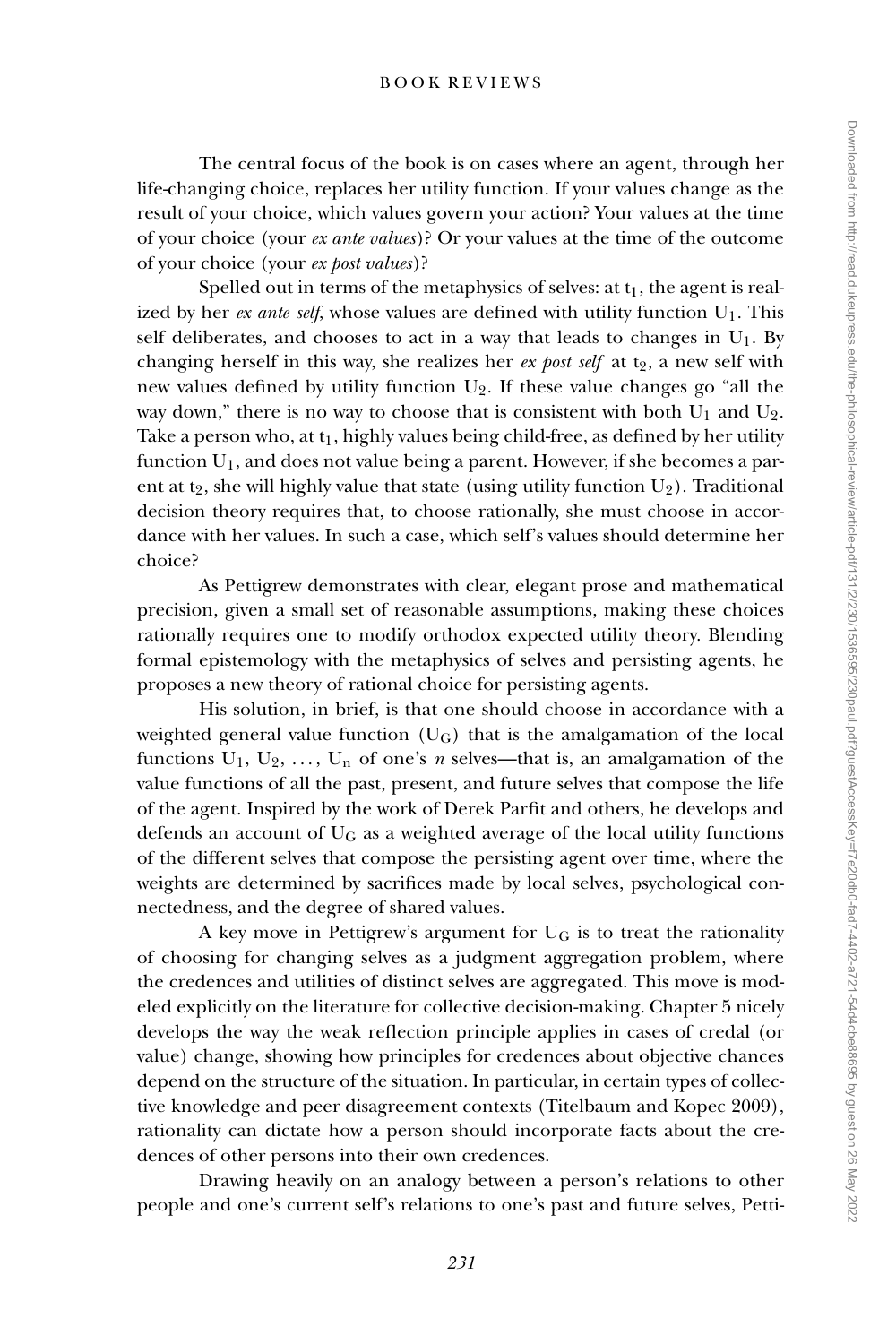The central focus of the book is on cases where an agent, through her life-changing choice, replaces her utility function. If your values change as the result of your choice, which values govern your action? Your values at the time of your choice (your *ex ante values*)? Or your values at the time of the outcome of your choice (your *ex post values*)?

Spelled out in terms of the metaphysics of selves: at  $t_1$ , the agent is realized by her *ex ante self*, whose values are defined with utility function  $U_1$ . This self deliberates, and chooses to act in a way that leads to changes in  $U_1$ . By changing herself in this way, she realizes her *ex post self* at t<sub>2</sub>, a new self with new values defined by utility function  $U_2$ . If these value changes go "all the way down," there is no way to choose that is consistent with both  $U_1$  and  $U_2$ . Take a person who, at  $t_1$ , highly values being child-free, as defined by her utility function  $U_1$ , and does not value being a parent. However, if she becomes a parent at t<sub>2</sub>, she will highly value that state (using utility function  $U_2$ ). Traditional decision theory requires that, to choose rationally, she must choose in accordance with her values. In such a case, which self's values should determine her choice?

As Pettigrew demonstrates with clear, elegant prose and mathematical precision, given a small set of reasonable assumptions, making these choices rationally requires one to modify orthodox expected utility theory. Blending formal epistemology with the metaphysics of selves and persisting agents, he proposes a new theory of rational choice for persisting agents.

His solution, in brief, is that one should choose in accordance with a weighted general value function  $(U_G)$  that is the amalgamation of the local functions  $U_1, U_2, \ldots, U_n$  of one's *n* selves—that is, an amalgamation of the value functions of all the past, present, and future selves that compose the life of the agent. Inspired by the work of Derek Parfit and others, he develops and defends an account of  $U_G$  as a weighted average of the local utility functions of the different selves that compose the persisting agent over time, where the weights are determined by sacrifices made by local selves, psychological connectedness, and the degree of shared values.

A key move in Pettigrew's argument for  $U_G$  is to treat the rationality of choosing for changing selves as a judgment aggregation problem, where the credences and utilities of distinct selves are aggregated. This move is modeled explicitly on the literature for collective decision-making. Chapter 5 nicely develops the way the weak reflection principle applies in cases of credal (or value) change, showing how principles for credences about objective chances depend on the structure of the situation. In particular, in certain types of collective knowledge and peer disagreement contexts (Titelbaum and Kopec 2009), rationality can dictate how a person should incorporate facts about the credences of other persons into their own credences.

Drawing heavily on an analogy between a person's relations to other people and one's current self's relations to one's past and future selves, Petti-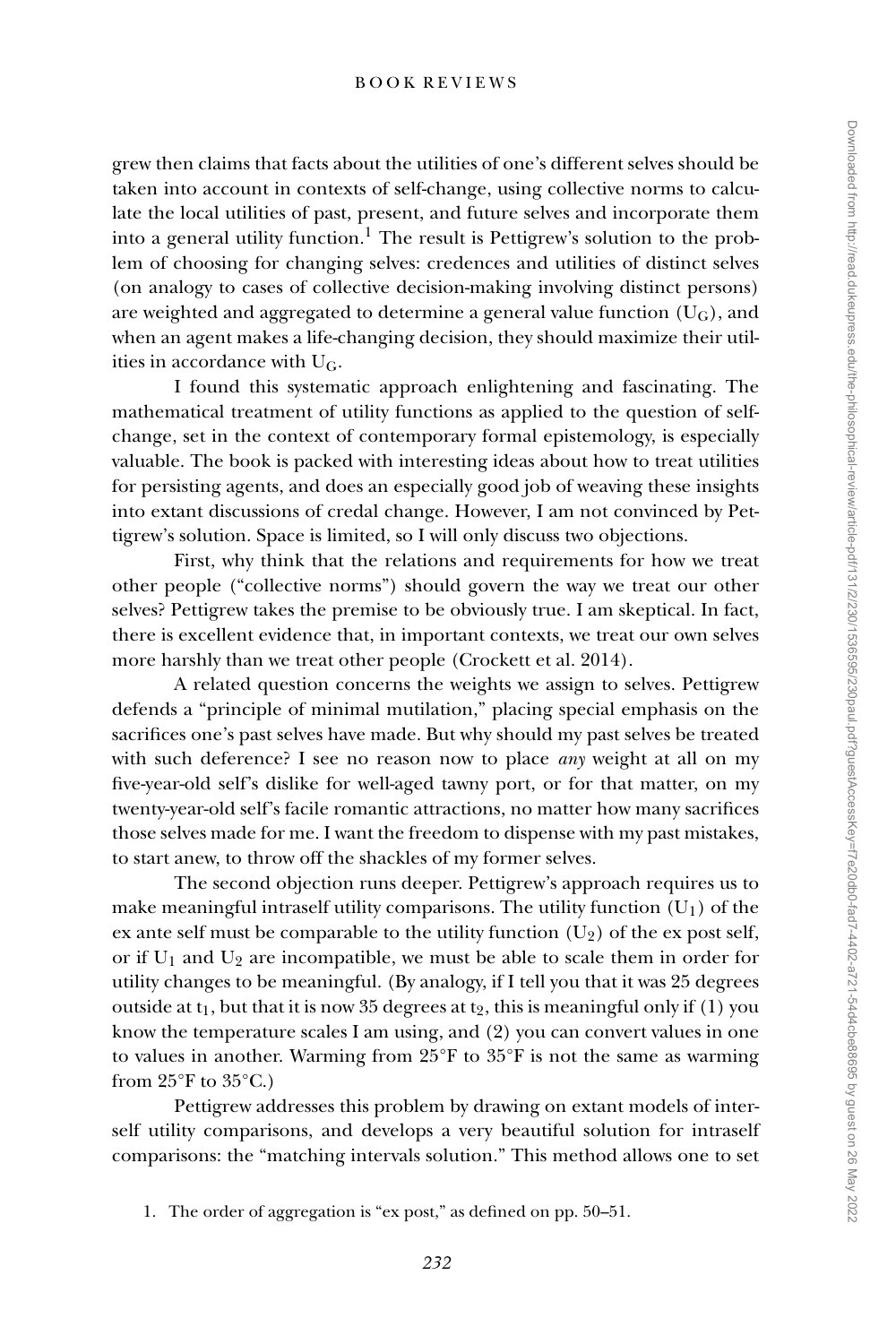grew then claims that facts about the utilities of one's different selves should be taken into account in contexts of self-change, using collective norms to calculate the local utilities of past, present, and future selves and incorporate them into a general utility function.<sup>1</sup> The result is Pettigrew's solution to the problem of choosing for changing selves: credences and utilities of distinct selves (on analogy to cases of collective decision-making involving distinct persons) are weighted and aggregated to determine a general value function  $(U_G)$ , and when an agent makes a life-changing decision, they should maximize their utilities in accordance with UG.

I found this systematic approach enlightening and fascinating. The mathematical treatment of utility functions as applied to the question of selfchange, set in the context of contemporary formal epistemology, is especially valuable. The book is packed with interesting ideas about how to treat utilities for persisting agents, and does an especially good job of weaving these insights into extant discussions of credal change. However, I am not convinced by Pettigrew's solution. Space is limited, so I will only discuss two objections.

First, why think that the relations and requirements for how we treat other people ("collective norms") should govern the way we treat our other selves? Pettigrew takes the premise to be obviously true. I am skeptical. In fact, there is excellent evidence that, in important contexts, we treat our own selves more harshly than we treat other people (Crockett et al. 2014).

A related question concerns the weights we assign to selves. Pettigrew defends a "principle of minimal mutilation," placing special emphasis on the sacrifices one's past selves have made. But why should my past selves be treated with such deference? I see no reason now to place *any* weight at all on my five-year-old self's dislike for well-aged tawny port, or for that matter, on my twenty-year-old self's facile romantic attractions, no matter how many sacrifices those selves made for me. I want the freedom to dispense with my past mistakes, to start anew, to throw off the shackles of my former selves.

The second objection runs deeper. Pettigrew's approach requires us to make meaningful intraself utility comparisons. The utility function  $(U_1)$  of the ex ante self must be comparable to the utility function  $(U_2)$  of the ex post self, or if  $U_1$  and  $U_2$  are incompatible, we must be able to scale them in order for utility changes to be meaningful. (By analogy, if I tell you that it was 25 degrees outside at  $t_1$ , but that it is now 35 degrees at  $t_2$ , this is meaningful only if (1) you know the temperature scales I am using, and (2) you can convert values in one to values in another. Warming from 25°F to 35°F is not the same as warming from  $25^{\circ}$ F to  $35^{\circ}$ C.)

Pettigrew addresses this problem by drawing on extant models of interself utility comparisons, and develops a very beautiful solution for intraself comparisons: the "matching intervals solution." This method allows one to set

1. The order of aggregation is "ex post," as defined on pp. 50–51.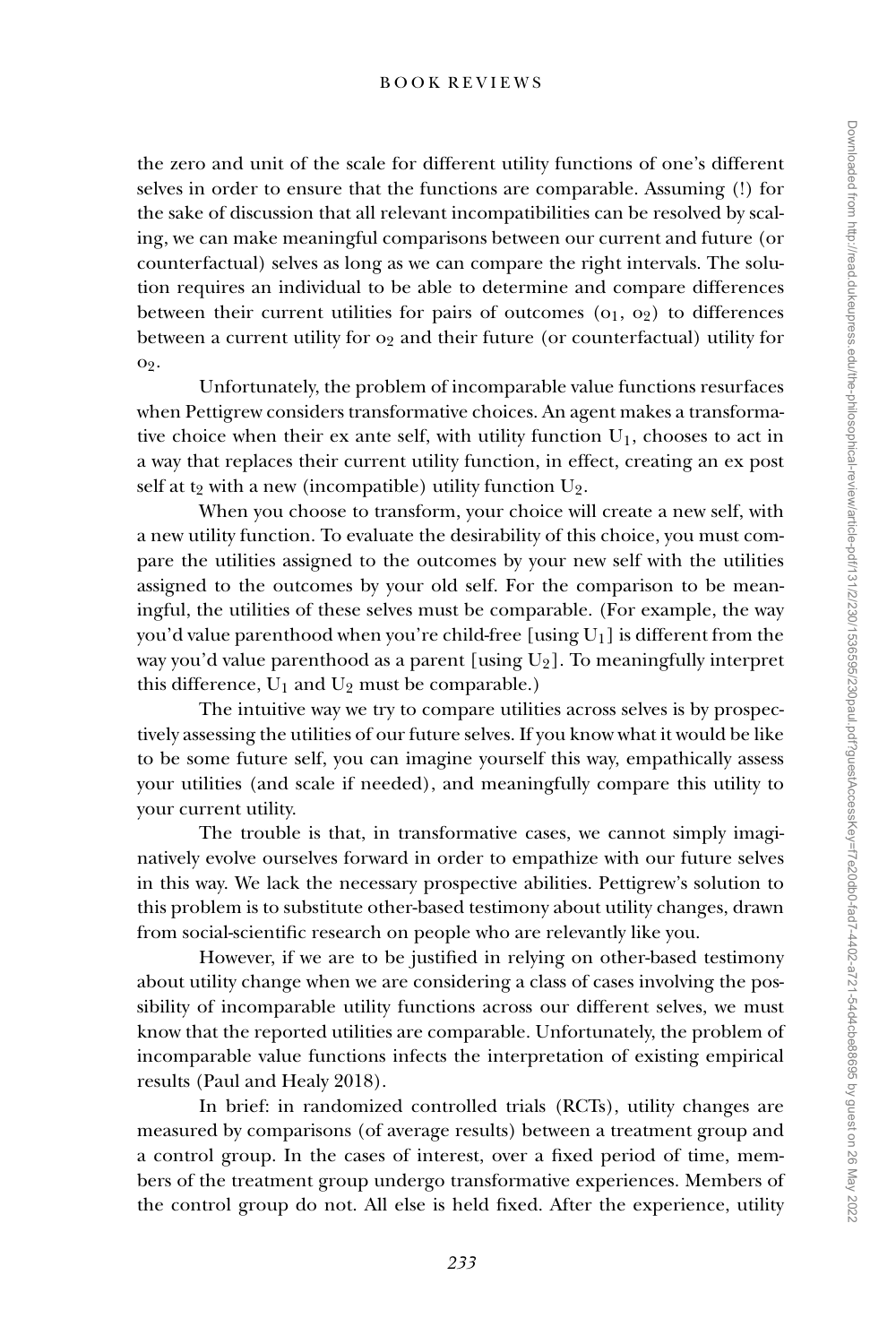the zero and unit of the scale for different utility functions of one's different selves in order to ensure that the functions are comparable. Assuming (!) for the sake of discussion that all relevant incompatibilities can be resolved by scaling, we can make meaningful comparisons between our current and future (or counterfactual) selves as long as we can compare the right intervals. The solution requires an individual to be able to determine and compare differences between their current utilities for pairs of outcomes  $(o<sub>1</sub>, o<sub>2</sub>)$  to differences between a current utility for  $o_2$  and their future (or counterfactual) utility for o2.

Unfortunately, the problem of incomparable value functions resurfaces when Pettigrew considers transformative choices. An agent makes a transformative choice when their ex ante self, with utility function  $U_1$ , chooses to act in a way that replaces their current utility function, in effect, creating an ex post self at t<sub>2</sub> with a new (incompatible) utility function  $U_2$ .

When you choose to transform, your choice will create a new self, with a new utility function. To evaluate the desirability of this choice, you must compare the utilities assigned to the outcomes by your new self with the utilities assigned to the outcomes by your old self. For the comparison to be meaningful, the utilities of these selves must be comparable. (For example, the way you'd value parenthood when you're child-free [using  $U_1$ ] is different from the way you'd value parenthood as a parent [using  $U_2$ ]. To meaningfully interpret this difference,  $U_1$  and  $U_2$  must be comparable.)

The intuitive way we try to compare utilities across selves is by prospectively assessing the utilities of our future selves. If you know what it would be like to be some future self, you can imagine yourself this way, empathically assess your utilities (and scale if needed), and meaningfully compare this utility to your current utility.

The trouble is that, in transformative cases, we cannot simply imaginatively evolve ourselves forward in order to empathize with our future selves in this way. We lack the necessary prospective abilities. Pettigrew's solution to this problem is to substitute other-based testimony about utility changes, drawn from social-scientific research on people who are relevantly like you.

However, if we are to be justified in relying on other-based testimony about utility change when we are considering a class of cases involving the possibility of incomparable utility functions across our different selves, we must know that the reported utilities are comparable. Unfortunately, the problem of incomparable value functions infects the interpretation of existing empirical results (Paul and Healy 2018).

In brief: in randomized controlled trials (RCTs), utility changes are measured by comparisons (of average results) between a treatment group and a control group. In the cases of interest, over a fixed period of time, members of the treatment group undergo transformative experiences. Members of the control group do not. All else is held fixed. After the experience, utility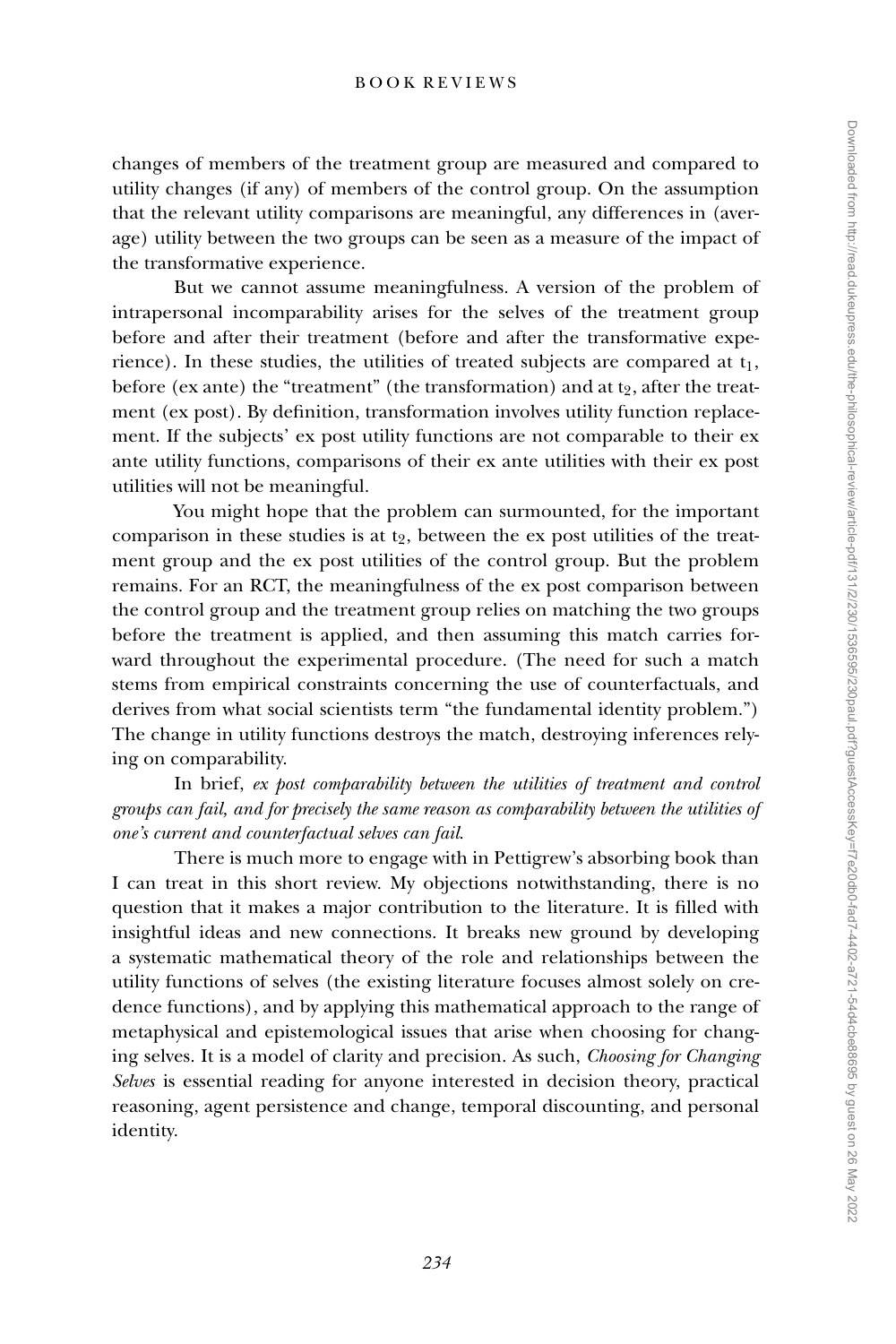changes of members of the treatment group are measured and compared to utility changes (if any) of members of the control group. On the assumption that the relevant utility comparisons are meaningful, any differences in (average) utility between the two groups can be seen as a measure of the impact of the transformative experience.

But we cannot assume meaningfulness. A version of the problem of intrapersonal incomparability arises for the selves of the treatment group before and after their treatment (before and after the transformative experience). In these studies, the utilities of treated subjects are compared at  $t_1$ , before (ex ante) the "treatment" (the transformation) and at  $t_2$ , after the treatment (ex post). By definition, transformation involves utility function replacement. If the subjects' ex post utility functions are not comparable to their ex ante utility functions, comparisons of their ex ante utilities with their ex post utilities will not be meaningful.

You might hope that the problem can surmounted, for the important comparison in these studies is at  $t_2$ , between the ex post utilities of the treatment group and the ex post utilities of the control group. But the problem remains. For an RCT, the meaningfulness of the ex post comparison between the control group and the treatment group relies on matching the two groups before the treatment is applied, and then assuming this match carries forward throughout the experimental procedure. (The need for such a match stems from empirical constraints concerning the use of counterfactuals, and derives from what social scientists term "the fundamental identity problem.") The change in utility functions destroys the match, destroying inferences relying on comparability.

In brief, *ex post comparability between the utilities of treatment and control groups can fail, and for precisely the same reason as comparability between the utilities of one's current and counterfactual selves can fail*.

There is much more to engage with in Pettigrew's absorbing book than I can treat in this short review. My objections notwithstanding, there is no question that it makes a major contribution to the literature. It is filled with insightful ideas and new connections. It breaks new ground by developing a systematic mathematical theory of the role and relationships between the utility functions of selves (the existing literature focuses almost solely on credence functions), and by applying this mathematical approach to the range of metaphysical and epistemological issues that arise when choosing for changing selves. It is a model of clarity and precision. As such, *Choosing for Changing Selves* is essential reading for anyone interested in decision theory, practical reasoning, agent persistence and change, temporal discounting, and personal identity.